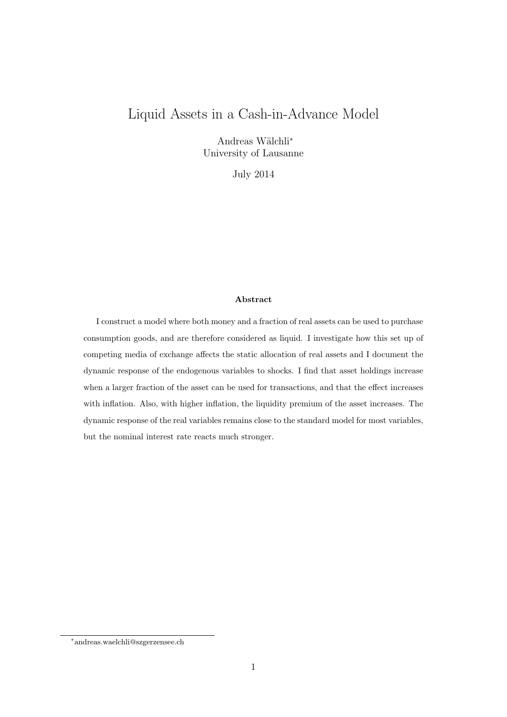## Liquid Assets in a Cash-in-Advance Model

Andreas Wälchli<sup>\*</sup> University of Lausanne

July 2014

#### Abstract

I construct a model where both money and a fraction of real assets can be used to purchase consumption goods, and are therefore considered as liquid. I investigate how this set up of competing media of exchange affects the static allocation of real assets and I document the dynamic response of the endogenous variables to shocks. I find that asset holdings increase when a larger fraction of the asset can be used for transactions, and that the effect increases with inflation. Also, with higher inflation, the liquidity premium of the asset increases. The dynamic response of the real variables remains close to the standard model for most variables, but the nominal interest rate reacts much stronger.

<sup>∗</sup> andreas.waelchli@szgerzensee.ch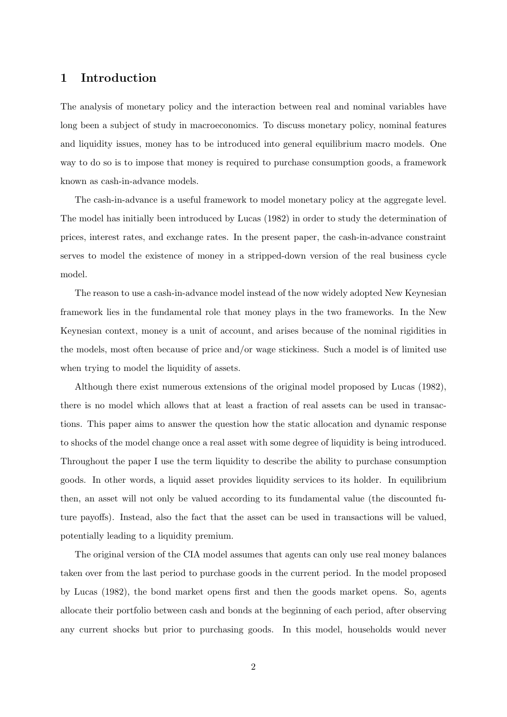### 1 Introduction

The analysis of monetary policy and the interaction between real and nominal variables have long been a subject of study in macroeconomics. To discuss monetary policy, nominal features and liquidity issues, money has to be introduced into general equilibrium macro models. One way to do so is to impose that money is required to purchase consumption goods, a framework known as cash-in-advance models.

The cash-in-advance is a useful framework to model monetary policy at the aggregate level. The model has initially been introduced by Lucas (1982) in order to study the determination of prices, interest rates, and exchange rates. In the present paper, the cash-in-advance constraint serves to model the existence of money in a stripped-down version of the real business cycle model.

The reason to use a cash-in-advance model instead of the now widely adopted New Keynesian framework lies in the fundamental role that money plays in the two frameworks. In the New Keynesian context, money is a unit of account, and arises because of the nominal rigidities in the models, most often because of price and/or wage stickiness. Such a model is of limited use when trying to model the liquidity of assets.

Although there exist numerous extensions of the original model proposed by Lucas (1982), there is no model which allows that at least a fraction of real assets can be used in transactions. This paper aims to answer the question how the static allocation and dynamic response to shocks of the model change once a real asset with some degree of liquidity is being introduced. Throughout the paper I use the term liquidity to describe the ability to purchase consumption goods. In other words, a liquid asset provides liquidity services to its holder. In equilibrium then, an asset will not only be valued according to its fundamental value (the discounted future payoffs). Instead, also the fact that the asset can be used in transactions will be valued, potentially leading to a liquidity premium.

The original version of the CIA model assumes that agents can only use real money balances taken over from the last period to purchase goods in the current period. In the model proposed by Lucas (1982), the bond market opens first and then the goods market opens. So, agents allocate their portfolio between cash and bonds at the beginning of each period, after observing any current shocks but prior to purchasing goods. In this model, households would never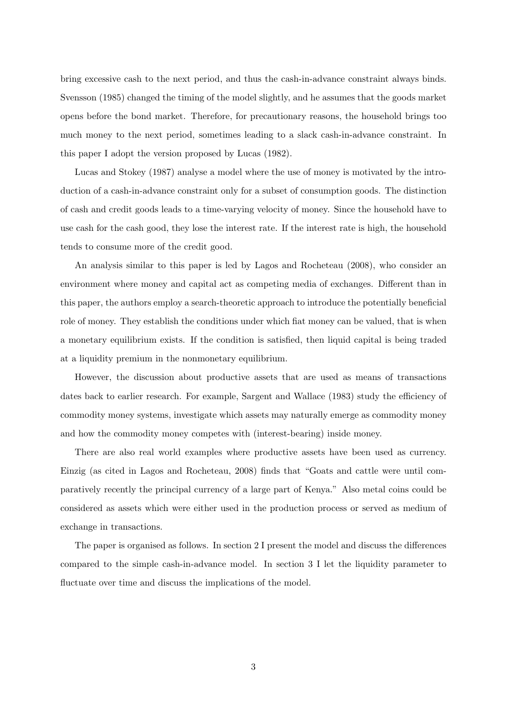bring excessive cash to the next period, and thus the cash-in-advance constraint always binds. Svensson (1985) changed the timing of the model slightly, and he assumes that the goods market opens before the bond market. Therefore, for precautionary reasons, the household brings too much money to the next period, sometimes leading to a slack cash-in-advance constraint. In this paper I adopt the version proposed by Lucas (1982).

Lucas and Stokey (1987) analyse a model where the use of money is motivated by the introduction of a cash-in-advance constraint only for a subset of consumption goods. The distinction of cash and credit goods leads to a time-varying velocity of money. Since the household have to use cash for the cash good, they lose the interest rate. If the interest rate is high, the household tends to consume more of the credit good.

An analysis similar to this paper is led by Lagos and Rocheteau (2008), who consider an environment where money and capital act as competing media of exchanges. Different than in this paper, the authors employ a search-theoretic approach to introduce the potentially beneficial role of money. They establish the conditions under which fiat money can be valued, that is when a monetary equilibrium exists. If the condition is satisfied, then liquid capital is being traded at a liquidity premium in the nonmonetary equilibrium.

However, the discussion about productive assets that are used as means of transactions dates back to earlier research. For example, Sargent and Wallace (1983) study the efficiency of commodity money systems, investigate which assets may naturally emerge as commodity money and how the commodity money competes with (interest-bearing) inside money.

There are also real world examples where productive assets have been used as currency. Einzig (as cited in Lagos and Rocheteau, 2008) finds that "Goats and cattle were until comparatively recently the principal currency of a large part of Kenya." Also metal coins could be considered as assets which were either used in the production process or served as medium of exchange in transactions.

The paper is organised as follows. In section 2 I present the model and discuss the differences compared to the simple cash-in-advance model. In section 3 I let the liquidity parameter to fluctuate over time and discuss the implications of the model.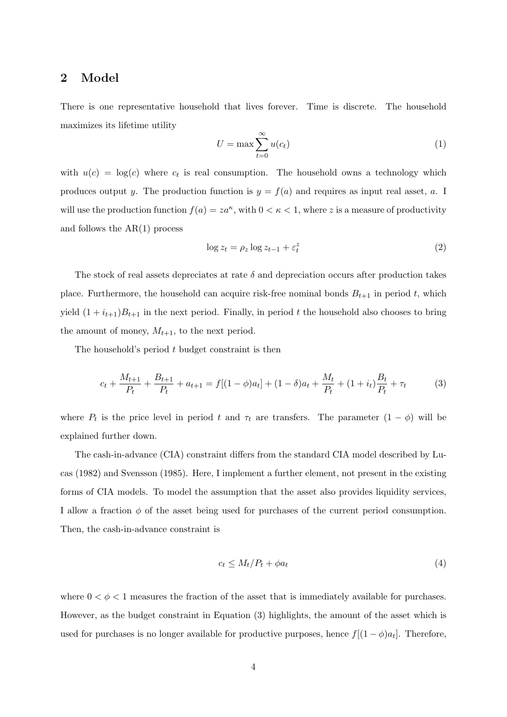### 2 Model

There is one representative household that lives forever. Time is discrete. The household maximizes its lifetime utility

$$
U = \max \sum_{t=0}^{\infty} u(c_t)
$$
 (1)

with  $u(c) = \log(c)$  where  $c_t$  is real consumption. The household owns a technology which produces output y. The production function is  $y = f(a)$  and requires as input real asset, a. I will use the production function  $f(a) = za^{\kappa}$ , with  $0 < \kappa < 1$ , where z is a measure of productivity and follows the AR(1) process

$$
\log z_t = \rho_z \log z_{t-1} + \varepsilon_t^z \tag{2}
$$

The stock of real assets depreciates at rate  $\delta$  and depreciation occurs after production takes place. Furthermore, the household can acquire risk-free nominal bonds  $B_{t+1}$  in period t, which yield  $(1 + i_{t+1})B_{t+1}$  in the next period. Finally, in period t the household also chooses to bring the amount of money,  $M_{t+1}$ , to the next period.

The household's period  $t$  budget constraint is then

$$
c_t + \frac{M_{t+1}}{P_t} + \frac{B_{t+1}}{P_t} + a_{t+1} = f[(1-\phi)a_t] + (1-\delta)a_t + \frac{M_t}{P_t} + (1+i_t)\frac{B_t}{P_t} + \tau_t
$$
(3)

where  $P_t$  is the price level in period t and  $\tau_t$  are transfers. The parameter  $(1 - \phi)$  will be explained further down.

The cash-in-advance (CIA) constraint differs from the standard CIA model described by Lucas (1982) and Svensson (1985). Here, I implement a further element, not present in the existing forms of CIA models. To model the assumption that the asset also provides liquidity services, I allow a fraction  $\phi$  of the asset being used for purchases of the current period consumption. Then, the cash-in-advance constraint is

$$
c_t \le M_t/P_t + \phi a_t \tag{4}
$$

where  $0 < \phi < 1$  measures the fraction of the asset that is immediately available for purchases. However, as the budget constraint in Equation (3) highlights, the amount of the asset which is used for purchases is no longer available for productive purposes, hence  $f[(1-\phi)a_t]$ . Therefore,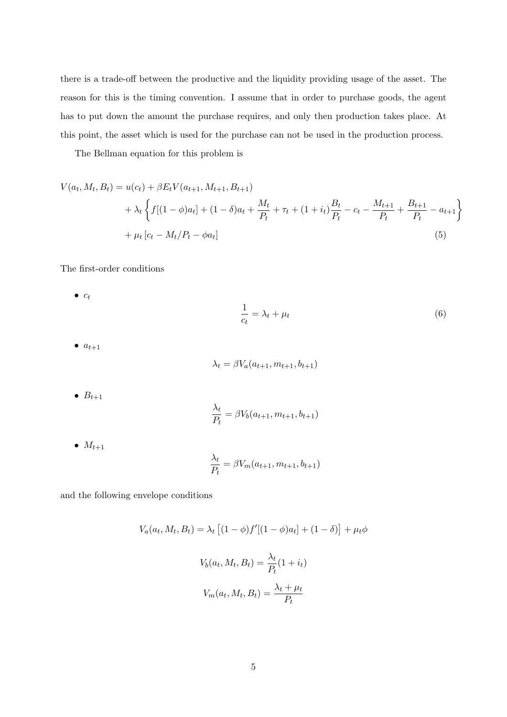there is a trade-off between the productive and the liquidity providing usage of the asset. The reason for this is the timing convention. I assume that in order to purchase goods, the agent has to put down the amount the purchase requires, and only then production takes place. At this point, the asset which is used for the purchase can not be used in the production process.

The Bellman equation for this problem is

$$
V(a_t, M_t, B_t) = u(c_t) + \beta E_t V(a_{t+1}, M_{t+1}, B_{t+1})
$$
  
+  $\lambda_t \left\{ f[(1-\phi)a_t] + (1-\delta)a_t + \frac{M_t}{P_t} + \tau_t + (1+i_t)\frac{B_t}{P_t} - c_t - \frac{M_{t+1}}{P_t} + \frac{B_{t+1}}{P_t} - a_{t+1} \right\}$   
+  $\mu_t [c_t - M_t/P_t - \phi a_t]$  (5)

The first-order conditions

$$
\bullet \ \ c_t
$$

$$
\frac{1}{c_t} = \lambda_t + \mu_t \tag{6}
$$

 $\bullet$   $a_{t+1}$ 

$$
\lambda_t = \beta V_a(a_{t+1}, m_{t+1}, b_{t+1})
$$

 $\bullet$   $B_{t+1}$ 

$$
\frac{\lambda_t}{P_t} = \beta V_b(a_{t+1}, m_{t+1}, b_{t+1})
$$

 $\bullet$   $M_{t+1}$ 

$$
\frac{\lambda_t}{P_t} = \beta V_m(a_{t+1}, m_{t+1}, b_{t+1})
$$

and the following envelope conditions

$$
V_a(a_t, M_t, B_t) = \lambda_t \left[ (1 - \phi) f'[(1 - \phi)a_t] + (1 - \delta) \right] + \mu_t \phi
$$

$$
V_b(a_t, M_t, B_t) = \frac{\lambda_t}{P_t} (1 + i_t)
$$

$$
V_m(a_t, M_t, B_t) = \frac{\lambda_t + \mu_t}{P_t}
$$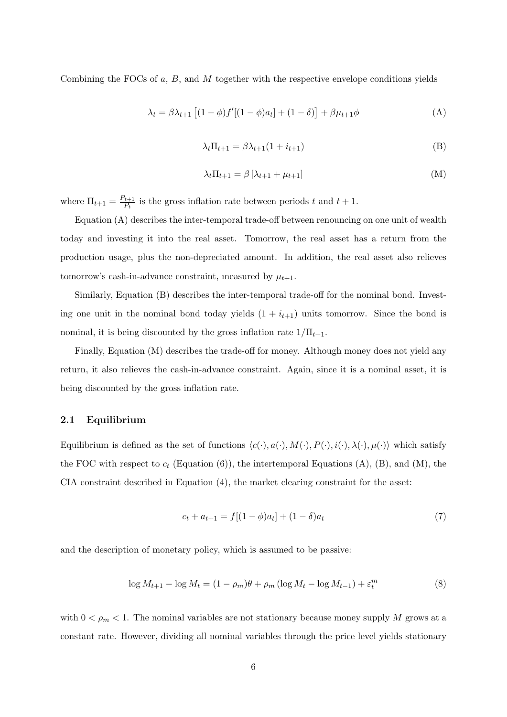Combining the FOCs of  $a, B$ , and  $M$  together with the respective envelope conditions yields

$$
\lambda_t = \beta \lambda_{t+1} \left[ (1 - \phi) f'[(1 - \phi)a_t] + (1 - \delta) \right] + \beta \mu_{t+1} \phi \tag{A}
$$

$$
\lambda_t \Pi_{t+1} = \beta \lambda_{t+1} (1 + i_{t+1}) \tag{B}
$$

$$
\lambda_t \Pi_{t+1} = \beta \left[ \lambda_{t+1} + \mu_{t+1} \right] \tag{M}
$$

where  $\Pi_{t+1} = \frac{P_{t+1}}{P_t}$  $\frac{t+1}{P_t}$  is the gross inflation rate between periods t and  $t+1$ .

Equation (A) describes the inter-temporal trade-off between renouncing on one unit of wealth today and investing it into the real asset. Tomorrow, the real asset has a return from the production usage, plus the non-depreciated amount. In addition, the real asset also relieves tomorrow's cash-in-advance constraint, measured by  $\mu_{t+1}$ .

Similarly, Equation (B) describes the inter-temporal trade-off for the nominal bond. Investing one unit in the nominal bond today yields  $(1 + i<sub>t+1</sub>)$  units tomorrow. Since the bond is nominal, it is being discounted by the gross inflation rate  $1/\Pi_{t+1}$ .

Finally, Equation (M) describes the trade-off for money. Although money does not yield any return, it also relieves the cash-in-advance constraint. Again, since it is a nominal asset, it is being discounted by the gross inflation rate.

#### 2.1 Equilibrium

Equilibrium is defined as the set of functions  $\langle c(\cdot), a(\cdot), M(\cdot), P(\cdot), i(\cdot), \lambda(\cdot), \mu(\cdot)\rangle$  which satisfy the FOC with respect to  $c_t$  (Equation  $(6)$ ), the intertemporal Equations  $(A)$ ,  $(B)$ , and  $(M)$ , the CIA constraint described in Equation (4), the market clearing constraint for the asset:

$$
c_t + a_{t+1} = f[(1 - \phi)a_t] + (1 - \delta)a_t \tag{7}
$$

and the description of monetary policy, which is assumed to be passive:

$$
\log M_{t+1} - \log M_t = (1 - \rho_m)\theta + \rho_m (\log M_t - \log M_{t-1}) + \varepsilon_t^m
$$
\n(8)

with  $0 < \rho_m < 1$ . The nominal variables are not stationary because money supply M grows at a constant rate. However, dividing all nominal variables through the price level yields stationary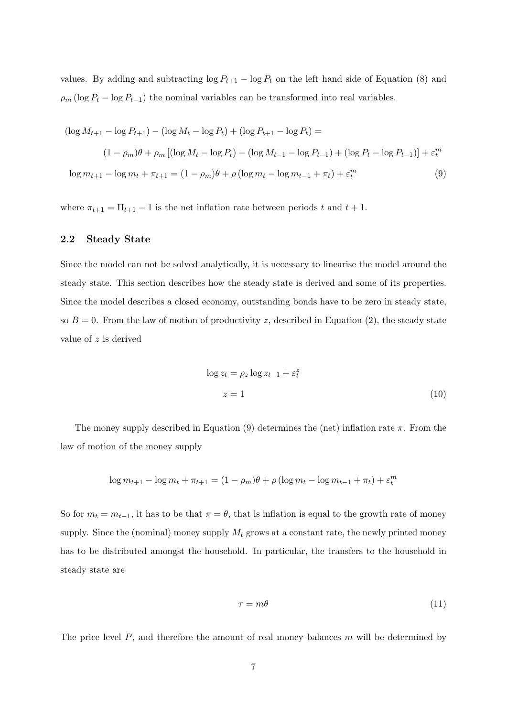values. By adding and subtracting  $\log P_{t+1} - \log P_t$  on the left hand side of Equation (8) and  $\rho_m$  (log  $P_t$  – log  $P_{t-1}$ ) the nominal variables can be transformed into real variables.

$$
(\log M_{t+1} - \log P_{t+1}) - (\log M_t - \log P_t) + (\log P_{t+1} - \log P_t) =
$$
  

$$
(1 - \rho_m)\theta + \rho_m [(\log M_t - \log P_t) - (\log M_{t-1} - \log P_{t-1}) + (\log P_t - \log P_{t-1})] + \varepsilon_t^m
$$
  

$$
\log m_{t+1} - \log m_t + \pi_{t+1} = (1 - \rho_m)\theta + \rho (\log m_t - \log m_{t-1} + \pi_t) + \varepsilon_t^m
$$
 (9)

where  $\pi_{t+1} = \Pi_{t+1} - 1$  is the net inflation rate between periods t and  $t + 1$ .

#### 2.2 Steady State

Since the model can not be solved analytically, it is necessary to linearise the model around the steady state. This section describes how the steady state is derived and some of its properties. Since the model describes a closed economy, outstanding bonds have to be zero in steady state, so  $B = 0$ . From the law of motion of productivity z, described in Equation (2), the steady state value of z is derived

$$
\log z_t = \rho_z \log z_{t-1} + \varepsilon_t^z
$$
  

$$
z = 1
$$
 (10)

The money supply described in Equation (9) determines the (net) inflation rate  $\pi$ . From the law of motion of the money supply

$$
\log m_{t+1} - \log m_t + \pi_{t+1} = (1 - \rho_m)\theta + \rho (\log m_t - \log m_{t-1} + \pi_t) + \varepsilon_t^m
$$

So for  $m_t = m_{t-1}$ , it has to be that  $\pi = \theta$ , that is inflation is equal to the growth rate of money supply. Since the (nominal) money supply  $M_t$  grows at a constant rate, the newly printed money has to be distributed amongst the household. In particular, the transfers to the household in steady state are

$$
\tau = m\theta \tag{11}
$$

The price level  $P$ , and therefore the amount of real money balances  $m$  will be determined by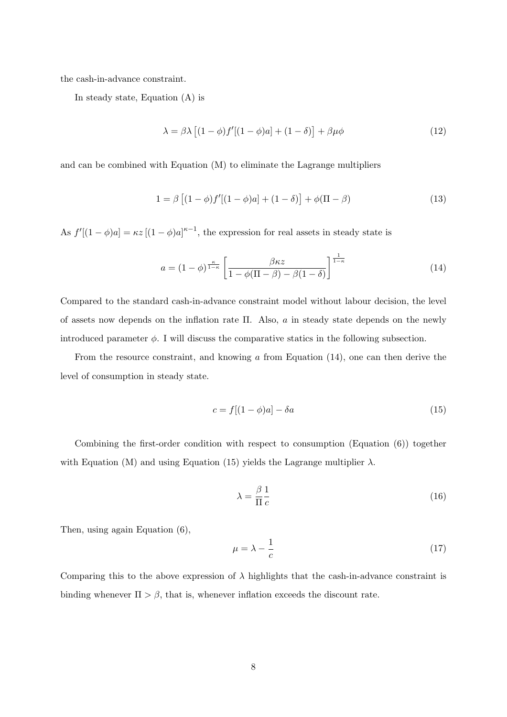the cash-in-advance constraint.

In steady state, Equation (A) is

$$
\lambda = \beta \lambda \left[ (1 - \phi) f'[(1 - \phi)a] + (1 - \delta) \right] + \beta \mu \phi \tag{12}
$$

and can be combined with Equation (M) to eliminate the Lagrange multipliers

$$
1 = \beta \left[ (1 - \phi) f'[(1 - \phi)a] + (1 - \delta) \right] + \phi(\Pi - \beta)
$$
 (13)

As  $f'[(1-\phi)a] = \kappa z [(1-\phi)a]^{\kappa-1}$ , the expression for real assets in steady state is

$$
a = (1 - \phi)^{\frac{\kappa}{1 - \kappa}} \left[ \frac{\beta \kappa z}{1 - \phi(\Pi - \beta) - \beta(1 - \delta)} \right]^{\frac{1}{1 - \kappa}}
$$
(14)

Compared to the standard cash-in-advance constraint model without labour decision, the level of assets now depends on the inflation rate Π. Also, a in steady state depends on the newly introduced parameter  $\phi$ . I will discuss the comparative statics in the following subsection.

From the resource constraint, and knowing  $\alpha$  from Equation (14), one can then derive the level of consumption in steady state.

$$
c = f[(1 - \phi)a] - \delta a \tag{15}
$$

Combining the first-order condition with respect to consumption (Equation (6)) together with Equation (M) and using Equation (15) yields the Lagrange multiplier  $\lambda$ .

$$
\lambda = \frac{\beta}{\Pi} \frac{1}{c} \tag{16}
$$

Then, using again Equation (6),

$$
\mu = \lambda - \frac{1}{c} \tag{17}
$$

Comparing this to the above expression of  $\lambda$  highlights that the cash-in-advance constraint is binding whenever  $\Pi > \beta$ , that is, whenever inflation exceeds the discount rate.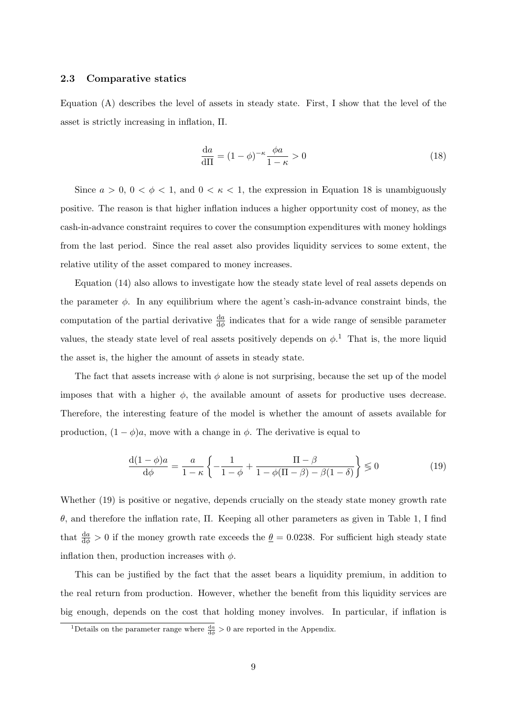#### 2.3 Comparative statics

Equation (A) describes the level of assets in steady state. First, I show that the level of the asset is strictly increasing in inflation, Π.

$$
\frac{da}{d\Pi} = (1 - \phi)^{-\kappa} \frac{\phi a}{1 - \kappa} > 0
$$
\n(18)

Since  $a > 0$ ,  $0 < \phi < 1$ , and  $0 < \kappa < 1$ , the expression in Equation 18 is unambiguously positive. The reason is that higher inflation induces a higher opportunity cost of money, as the cash-in-advance constraint requires to cover the consumption expenditures with money holdings from the last period. Since the real asset also provides liquidity services to some extent, the relative utility of the asset compared to money increases.

Equation (14) also allows to investigate how the steady state level of real assets depends on the parameter  $\phi$ . In any equilibrium where the agent's cash-in-advance constraint binds, the computation of the partial derivative  $\frac{da}{d\phi}$  indicates that for a wide range of sensible parameter values, the steady state level of real assets positively depends on  $\phi$ <sup>1</sup>. That is, the more liquid the asset is, the higher the amount of assets in steady state.

The fact that assets increase with  $\phi$  alone is not surprising, because the set up of the model imposes that with a higher  $\phi$ , the available amount of assets for productive uses decrease. Therefore, the interesting feature of the model is whether the amount of assets available for production,  $(1 - \phi)a$ , move with a change in  $\phi$ . The derivative is equal to

$$
\frac{\mathrm{d}(1-\phi)a}{\mathrm{d}\phi} = \frac{a}{1-\kappa} \left\{ -\frac{1}{1-\phi} + \frac{\Pi-\beta}{1-\phi(\Pi-\beta)-\beta(1-\delta)} \right\} \lessgtr 0 \tag{19}
$$

Whether  $(19)$  is positive or negative, depends crucially on the steady state money growth rate θ, and therefore the inflation rate, Π. Keeping all other parameters as given in Table 1, I find that  $\frac{da}{d\phi} > 0$  if the money growth rate exceeds the  $\underline{\theta} = 0.0238$ . For sufficient high steady state inflation then, production increases with  $\phi$ .

This can be justified by the fact that the asset bears a liquidity premium, in addition to the real return from production. However, whether the benefit from this liquidity services are big enough, depends on the cost that holding money involves. In particular, if inflation is

<sup>&</sup>lt;sup>1</sup>Details on the parameter range where  $\frac{da}{d\phi} > 0$  are reported in the Appendix.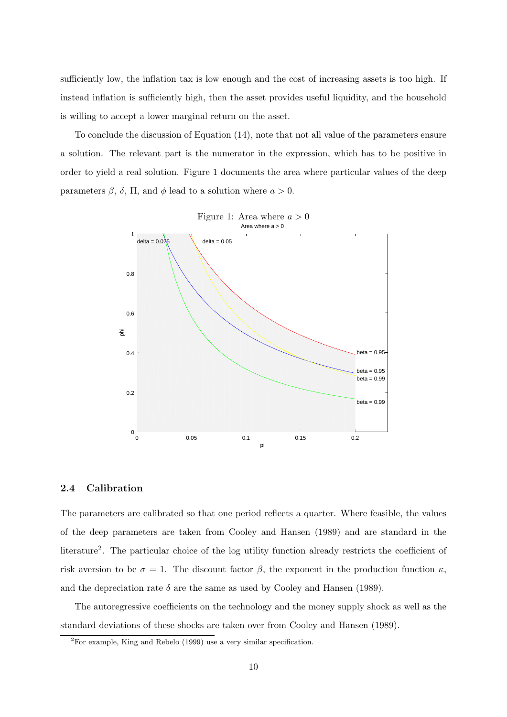sufficiently low, the inflation tax is low enough and the cost of increasing assets is too high. If instead inflation is sufficiently high, then the asset provides useful liquidity, and the household is willing to accept a lower marginal return on the asset.

To conclude the discussion of Equation (14), note that not all value of the parameters ensure a solution. The relevant part is the numerator in the expression, which has to be positive in order to yield a real solution. Figure 1 documents the area where particular values of the deep parameters  $\beta$ ,  $\delta$ ,  $\Pi$ , and  $\phi$  lead to a solution where  $a > 0$ .



#### 2.4 Calibration

The parameters are calibrated so that one period reflects a quarter. Where feasible, the values of the deep parameters are taken from Cooley and Hansen (1989) and are standard in the literature<sup>2</sup>. The particular choice of the log utility function already restricts the coefficient of risk aversion to be  $\sigma = 1$ . The discount factor  $\beta$ , the exponent in the production function  $\kappa$ , and the depreciation rate  $\delta$  are the same as used by Cooley and Hansen (1989).

The autoregressive coefficients on the technology and the money supply shock as well as the standard deviations of these shocks are taken over from Cooley and Hansen (1989).

<sup>2</sup>For example, King and Rebelo (1999) use a very similar specification.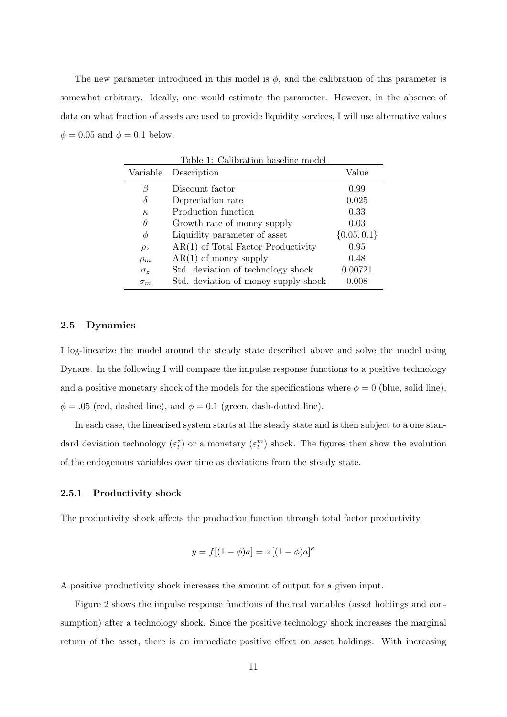The new parameter introduced in this model is  $\phi$ , and the calibration of this parameter is somewhat arbitrary. Ideally, one would estimate the parameter. However, in the absence of data on what fraction of assets are used to provide liquidity services, I will use alternative values  $\phi = 0.05$  and  $\phi = 0.1$  below.

| Variable   | Description                          | Value           |
|------------|--------------------------------------|-----------------|
| В          | Discount factor                      | 0.99            |
| δ          | Depreciation rate                    | 0.025           |
| $\kappa$   | Production function                  | 0.33            |
| $\theta$   | Growth rate of money supply          | 0.03            |
| Φ          | Liquidity parameter of asset         | $\{0.05, 0.1\}$ |
| $\rho_z$   | $AR(1)$ of Total Factor Productivity | 0.95            |
| $\rho_m$   | $AR(1)$ of money supply              | 0.48            |
| $\sigma_z$ | Std. deviation of technology shock   | 0.00721         |
| $\sigma_m$ | Std. deviation of money supply shock | 0.008           |

#### 2.5 Dynamics

I log-linearize the model around the steady state described above and solve the model using Dynare. In the following I will compare the impulse response functions to a positive technology and a positive monetary shock of the models for the specifications where  $\phi = 0$  (blue, solid line),  $\phi = .05$  (red, dashed line), and  $\phi = 0.1$  (green, dash-dotted line).

In each case, the linearised system starts at the steady state and is then subject to a one standard deviation technology  $(\varepsilon_t^z)$  or a monetary  $(\varepsilon_t^m)$  shock. The figures then show the evolution of the endogenous variables over time as deviations from the steady state.

#### 2.5.1 Productivity shock

The productivity shock affects the production function through total factor productivity.

$$
y = f[(1 - \phi)a] = z[(1 - \phi)a]^{\kappa}
$$

A positive productivity shock increases the amount of output for a given input.

Figure 2 shows the impulse response functions of the real variables (asset holdings and consumption) after a technology shock. Since the positive technology shock increases the marginal return of the asset, there is an immediate positive effect on asset holdings. With increasing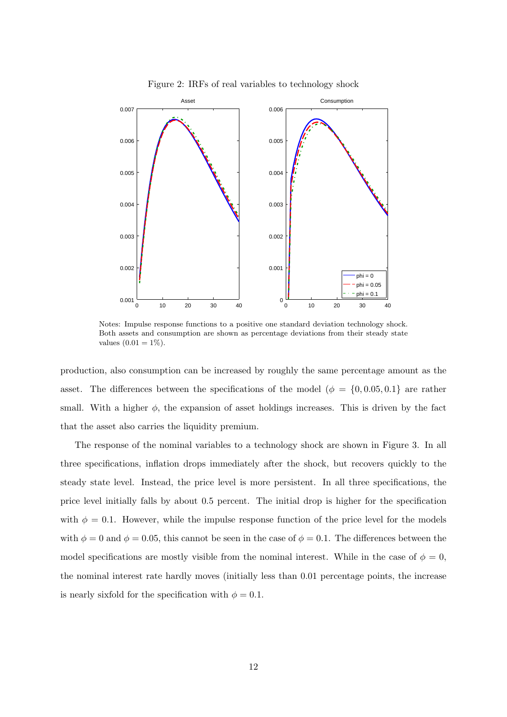

Figure 2: IRFs of real variables to technology shock

Notes: Impulse response functions to a positive one standard deviation technology shock. Both assets and consumption are shown as percentage deviations from their steady state values  $(0.01 = 1\%)$ .

production, also consumption can be increased by roughly the same percentage amount as the asset. The differences between the specifications of the model ( $\phi = \{0, 0.05, 0.1\}$  are rather small. With a higher  $\phi$ , the expansion of asset holdings increases. This is driven by the fact that the asset also carries the liquidity premium.

The response of the nominal variables to a technology shock are shown in Figure 3. In all three specifications, inflation drops immediately after the shock, but recovers quickly to the steady state level. Instead, the price level is more persistent. In all three specifications, the price level initially falls by about 0.5 percent. The initial drop is higher for the specification with  $\phi = 0.1$ . However, while the impulse response function of the price level for the models with  $\phi = 0$  and  $\phi = 0.05$ , this cannot be seen in the case of  $\phi = 0.1$ . The differences between the model specifications are mostly visible from the nominal interest. While in the case of  $\phi = 0$ , the nominal interest rate hardly moves (initially less than 0.01 percentage points, the increase is nearly sixfold for the specification with  $\phi = 0.1$ .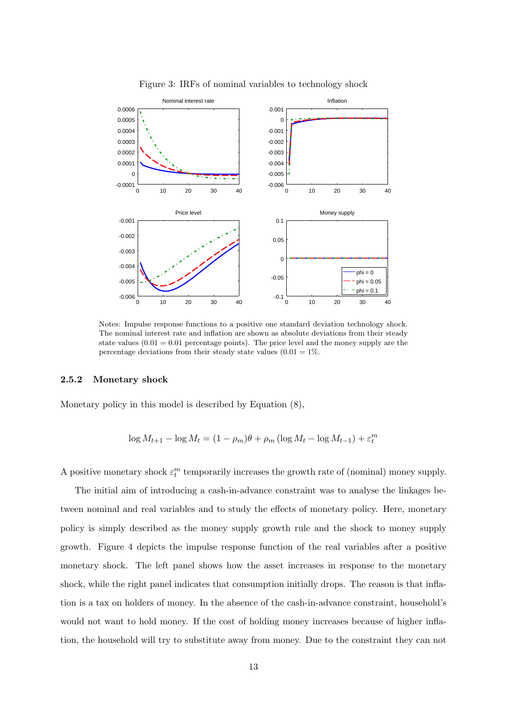

Figure 3: IRFs of nominal variables to technology shock

Notes: Impulse response functions to a positive one standard deviation technology shock. The nominal interest rate and inflation are shown as absolute deviations from their steady state values  $(0.01 = 0.01$  percentage points). The price level and the money supply are the percentage deviations from their steady state values  $(0.01 = 1\%$ .

#### 2.5.2 Monetary shock

Monetary policy in this model is described by Equation (8),

$$
\log M_{t+1} - \log M_t = (1 - \rho_m)\theta + \rho_m (\log M_t - \log M_{t-1}) + \varepsilon_t^m
$$

A positive monetary shock  $\varepsilon_t^m$  temporarily increases the growth rate of (nominal) money supply.

The initial aim of introducing a cash-in-advance constraint was to analyse the linkages between nominal and real variables and to study the effects of monetary policy. Here, monetary policy is simply described as the money supply growth rule and the shock to money supply growth. Figure 4 depicts the impulse response function of the real variables after a positive monetary shock. The left panel shows how the asset increases in response to the monetary shock, while the right panel indicates that consumption initially drops. The reason is that inflation is a tax on holders of money. In the absence of the cash-in-advance constraint, household's would not want to hold money. If the cost of holding money increases because of higher inflation, the household will try to substitute away from money. Due to the constraint they can not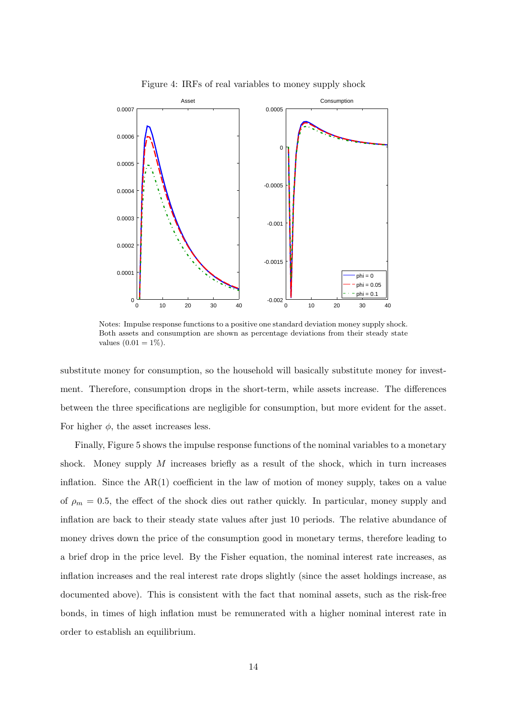

Figure 4: IRFs of real variables to money supply shock

Notes: Impulse response functions to a positive one standard deviation money supply shock. Both assets and consumption are shown as percentage deviations from their steady state values  $(0.01 = 1\%)$ .

substitute money for consumption, so the household will basically substitute money for investment. Therefore, consumption drops in the short-term, while assets increase. The differences between the three specifications are negligible for consumption, but more evident for the asset. For higher  $\phi$ , the asset increases less.

Finally, Figure 5 shows the impulse response functions of the nominal variables to a monetary shock. Money supply  $M$  increases briefly as a result of the shock, which in turn increases inflation. Since the  $AR(1)$  coefficient in the law of motion of money supply, takes on a value of  $\rho_m = 0.5$ , the effect of the shock dies out rather quickly. In particular, money supply and inflation are back to their steady state values after just 10 periods. The relative abundance of money drives down the price of the consumption good in monetary terms, therefore leading to a brief drop in the price level. By the Fisher equation, the nominal interest rate increases, as inflation increases and the real interest rate drops slightly (since the asset holdings increase, as documented above). This is consistent with the fact that nominal assets, such as the risk-free bonds, in times of high inflation must be remunerated with a higher nominal interest rate in order to establish an equilibrium.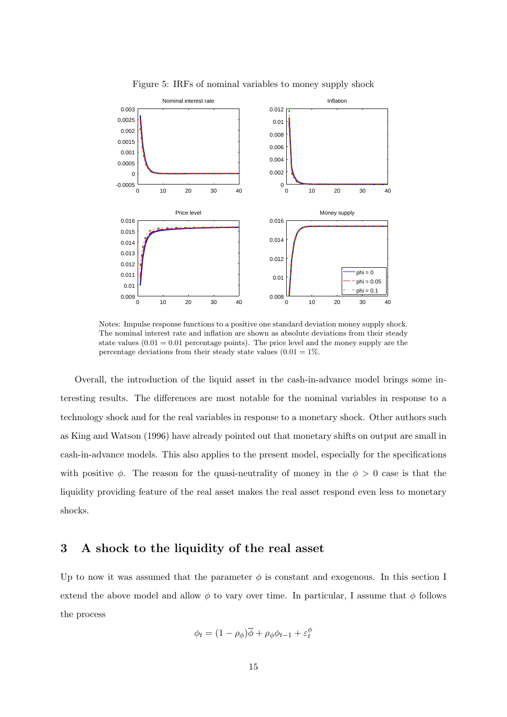

Figure 5: IRFs of nominal variables to money supply shock

Notes: Impulse response functions to a positive one standard deviation money supply shock. The nominal interest rate and inflation are shown as absolute deviations from their steady state values  $(0.01 = 0.01$  percentage points). The price level and the money supply are the percentage deviations from their steady state values  $(0.01 = 1\%$ .

Overall, the introduction of the liquid asset in the cash-in-advance model brings some interesting results. The differences are most notable for the nominal variables in response to a technology shock and for the real variables in response to a monetary shock. Other authors such as King and Watson (1996) have already pointed out that monetary shifts on output are small in cash-in-advance models. This also applies to the present model, especially for the specifications with positive  $\phi$ . The reason for the quasi-neutrality of money in the  $\phi > 0$  case is that the liquidity providing feature of the real asset makes the real asset respond even less to monetary shocks.

## 3 A shock to the liquidity of the real asset

Up to now it was assumed that the parameter  $\phi$  is constant and exogenous. In this section I extend the above model and allow  $\phi$  to vary over time. In particular, I assume that  $\phi$  follows the process

$$
\phi_t = (1 - \rho_\phi)\overline{\phi} + \rho_\phi \phi_{t-1} + \varepsilon_t^\phi
$$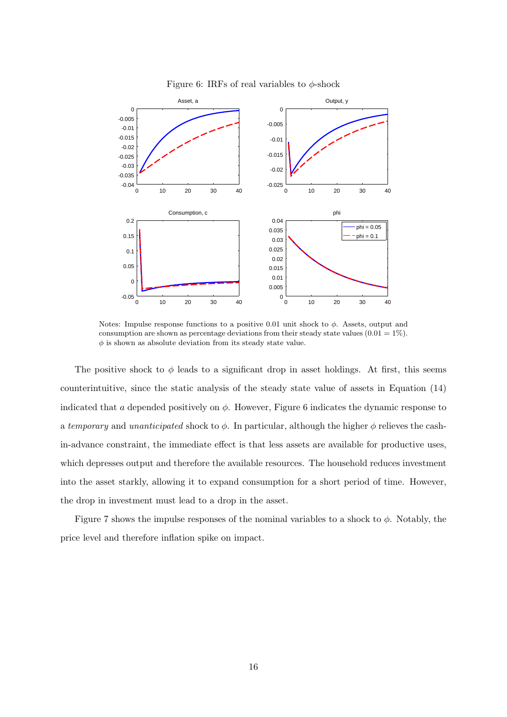

Figure 6: IRFs of real variables to  $\phi$ -shock

Notes: Impulse response functions to a positive 0.01 unit shock to  $\phi$ . Assets, output and consumption are shown as percentage deviations from their steady state values  $(0.01 = 1\%)$ .  $\phi$  is shown as absolute deviation from its steady state value.

The positive shock to  $\phi$  leads to a significant drop in asset holdings. At first, this seems counterintuitive, since the static analysis of the steady state value of assets in Equation (14) indicated that a depended positively on  $\phi$ . However, Figure 6 indicates the dynamic response to a temporary and unanticipated shock to  $\phi$ . In particular, although the higher  $\phi$  relieves the cashin-advance constraint, the immediate effect is that less assets are available for productive uses, which depresses output and therefore the available resources. The household reduces investment into the asset starkly, allowing it to expand consumption for a short period of time. However, the drop in investment must lead to a drop in the asset.

Figure 7 shows the impulse responses of the nominal variables to a shock to  $\phi$ . Notably, the price level and therefore inflation spike on impact.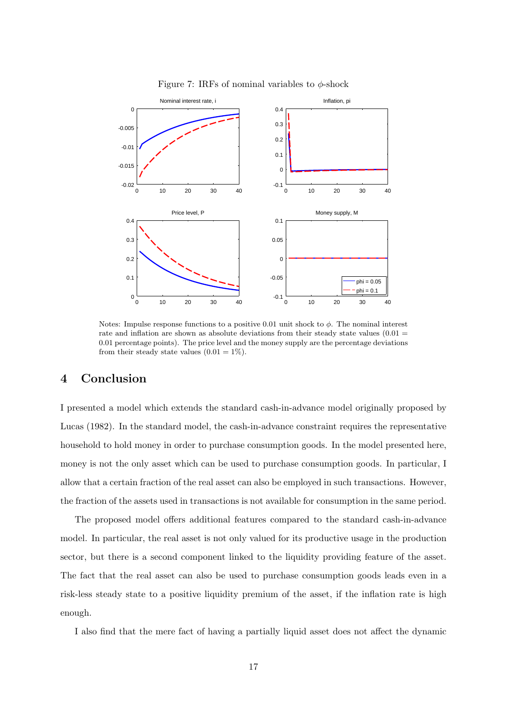

Figure 7: IRFs of nominal variables to  $\phi$ -shock

Notes: Impulse response functions to a positive 0.01 unit shock to  $\phi$ . The nominal interest rate and inflation are shown as absolute deviations from their steady state values  $(0.01 =$ 0.01 percentage points). The price level and the money supply are the percentage deviations from their steady state values  $(0.01 = 1\%)$ .

## 4 Conclusion

I presented a model which extends the standard cash-in-advance model originally proposed by Lucas (1982). In the standard model, the cash-in-advance constraint requires the representative household to hold money in order to purchase consumption goods. In the model presented here, money is not the only asset which can be used to purchase consumption goods. In particular, I allow that a certain fraction of the real asset can also be employed in such transactions. However, the fraction of the assets used in transactions is not available for consumption in the same period.

The proposed model offers additional features compared to the standard cash-in-advance model. In particular, the real asset is not only valued for its productive usage in the production sector, but there is a second component linked to the liquidity providing feature of the asset. The fact that the real asset can also be used to purchase consumption goods leads even in a risk-less steady state to a positive liquidity premium of the asset, if the inflation rate is high enough.

I also find that the mere fact of having a partially liquid asset does not affect the dynamic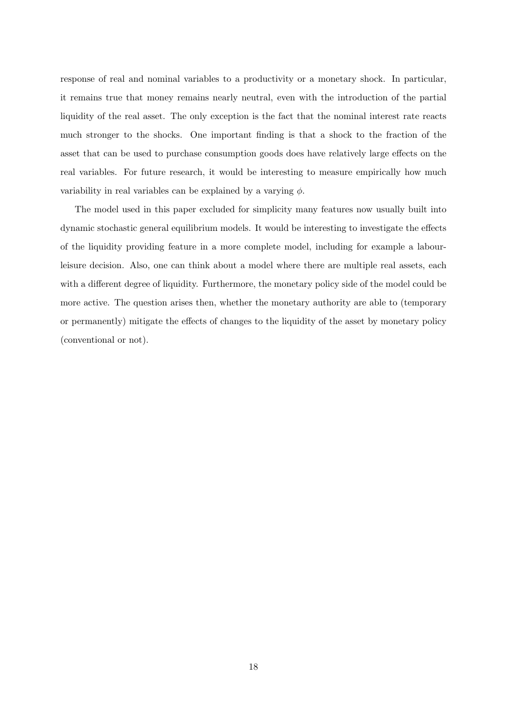response of real and nominal variables to a productivity or a monetary shock. In particular, it remains true that money remains nearly neutral, even with the introduction of the partial liquidity of the real asset. The only exception is the fact that the nominal interest rate reacts much stronger to the shocks. One important finding is that a shock to the fraction of the asset that can be used to purchase consumption goods does have relatively large effects on the real variables. For future research, it would be interesting to measure empirically how much variability in real variables can be explained by a varying  $\phi$ .

The model used in this paper excluded for simplicity many features now usually built into dynamic stochastic general equilibrium models. It would be interesting to investigate the effects of the liquidity providing feature in a more complete model, including for example a labourleisure decision. Also, one can think about a model where there are multiple real assets, each with a different degree of liquidity. Furthermore, the monetary policy side of the model could be more active. The question arises then, whether the monetary authority are able to (temporary or permanently) mitigate the effects of changes to the liquidity of the asset by monetary policy (conventional or not).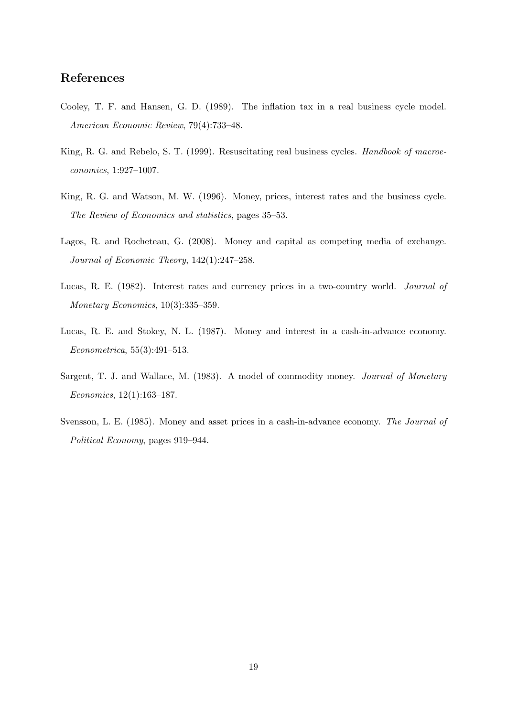## References

- Cooley, T. F. and Hansen, G. D. (1989). The inflation tax in a real business cycle model. American Economic Review, 79(4):733–48.
- King, R. G. and Rebelo, S. T. (1999). Resuscitating real business cycles. Handbook of macroeconomics, 1:927–1007.
- King, R. G. and Watson, M. W. (1996). Money, prices, interest rates and the business cycle. The Review of Economics and statistics, pages 35–53.
- Lagos, R. and Rocheteau, G. (2008). Money and capital as competing media of exchange. Journal of Economic Theory, 142(1):247–258.
- Lucas, R. E. (1982). Interest rates and currency prices in a two-country world. Journal of Monetary Economics, 10(3):335–359.
- Lucas, R. E. and Stokey, N. L. (1987). Money and interest in a cash-in-advance economy. Econometrica, 55(3):491–513.
- Sargent, T. J. and Wallace, M. (1983). A model of commodity money. Journal of Monetary Economics, 12(1):163–187.
- Svensson, L. E. (1985). Money and asset prices in a cash-in-advance economy. The Journal of Political Economy, pages 919–944.